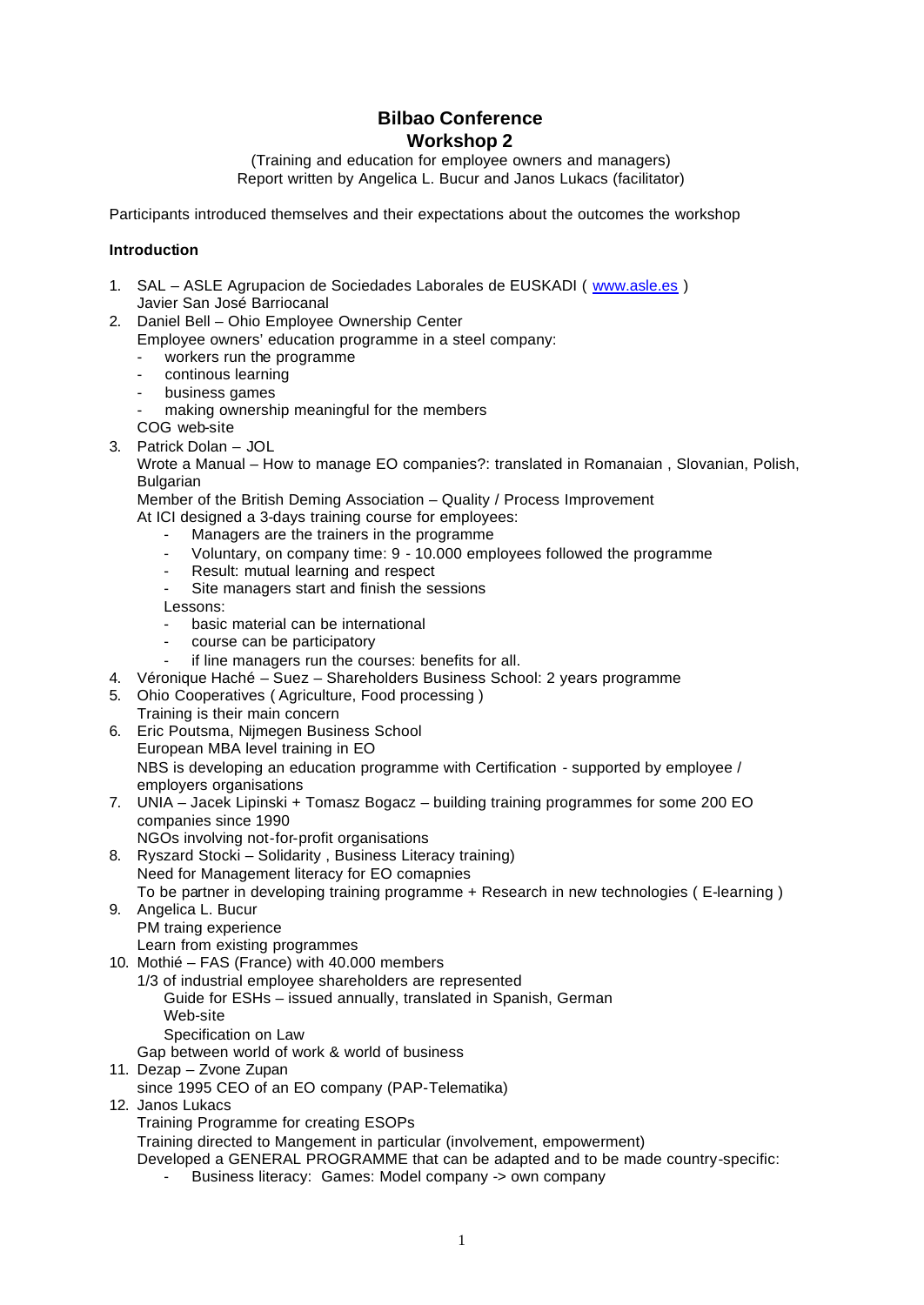# **Bilbao Conference Workshop 2**

(Training and education for employee owners and managers) Report written by Angelica L. Bucur and Janos Lukacs (facilitator)

Participants introduced themselves and their expectations about the outcomes the workshop

#### **Introduction**

- 1. SAL ASLE Agrupacion de Sociedades Laborales de EUSKADI ( www.asle.es ) Javier San José Barriocanal
- 2. Daniel Bell Ohio Employee Ownership Center
	- Employee owners' education programme in a steel company:
		- workers run the programme
		- continous learning
		- business games
		- making ownership meaningful for the members
		- COG web-site
- 3. Patrick Dolan JOL

Wrote a Manual – How to manage EO companies?: translated in Romanaian , Slovanian, Polish, Bulgarian

Member of the British Deming Association – Quality / Process Improvement

- At ICI designed a 3-days training course for employees:
	- Managers are the trainers in the programme
	- Voluntary, on company time: 9 10.000 employees followed the programme
	- Result: mutual learning and respect
	- Site managers start and finish the sessions

Lessons:

- basic material can be international
- course can be participatory
- if line managers run the courses: benefits for all.
- 4. Véronique Haché Suez Shareholders Business School: 2 years programme
- 5. Ohio Cooperatives ( Agriculture, Food processing )
- Training is their main concern
- 6. Eric Poutsma, Nijmegen Business School European MBA level training in EO NBS is developing an education programme with Certification - supported by employee / employers organisations
- 7. UNIA Jacek Lipinski + Tomasz Bogacz building training programmes for some 200 EO companies since 1990
	- NGOs involving not-for-profit organisations
- 8. Ryszard Stocki Solidarity , Business Literacy training) Need for Management literacy for EO comapnies To be partner in developing training programme + Research in new technologies ( E-learning )
- 9. Angelica L. Bucur PM traing experience

Learn from existing programmes

- 10. Mothié FAS (France) with 40.000 members
	- 1/3 of industrial employee shareholders are represented
		- Guide for ESHs issued annually, translated in Spanish, German Web-site
	- Specification on Law Gap between world of work & world of business
- 11. Dezap Zvone Zupan
	- since 1995 CEO of an EO company (PAP-Telematika)
- 12. Janos Lukacs

Training Programme for creating ESOPs

Training directed to Mangement in particular (involvement, empowerment)

Developed a GENERAL PROGRAMME that can be adapted and to be made country-specific:

Business literacy: Games: Model company -> own company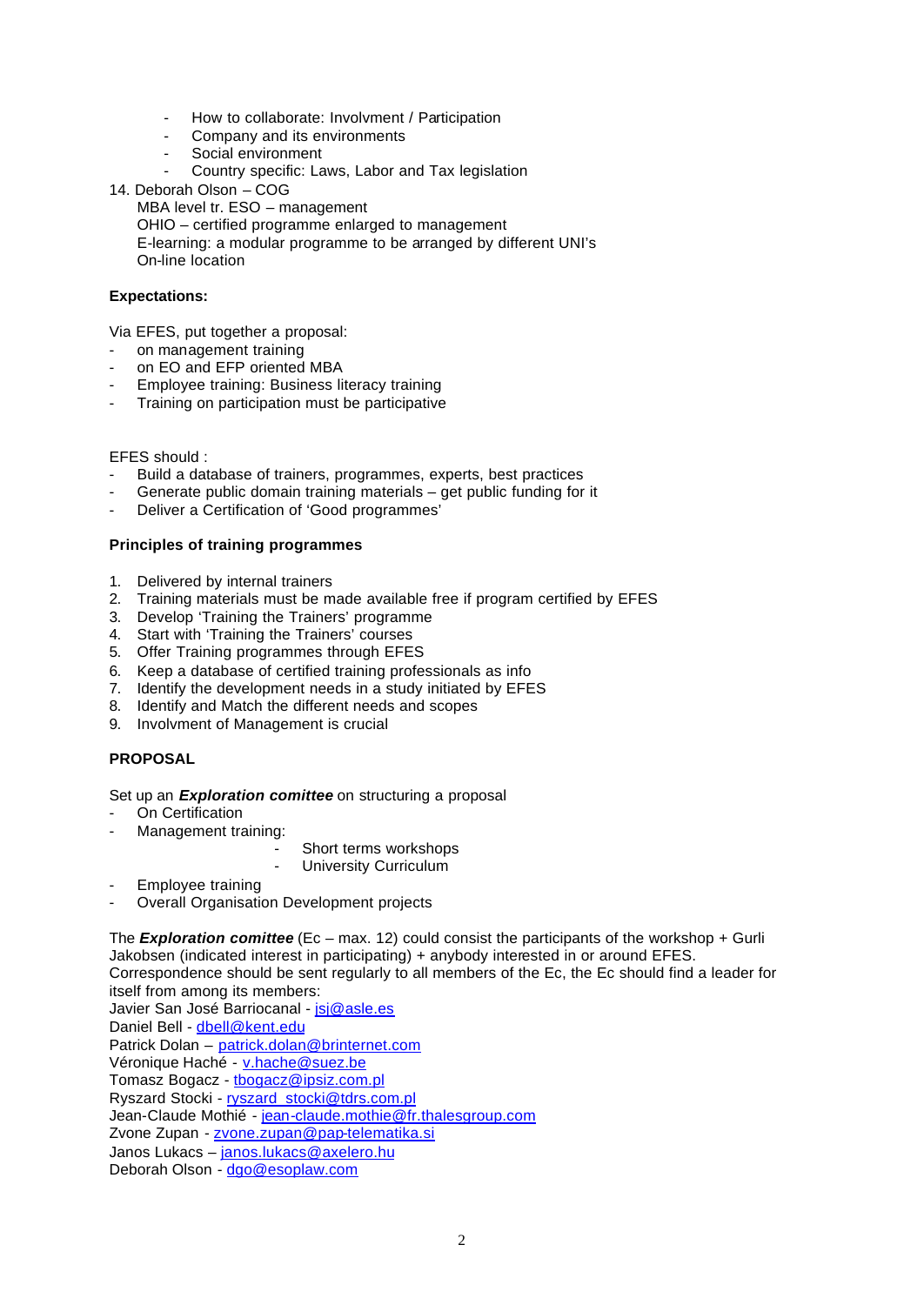- How to collaborate: Involvment / Participation
- Company and its environments
- Social environment
- Country specific: Laws, Labor and Tax legislation
- 14. Deborah Olson COG

MBA level tr. ESO – management

OHIO – certified programme enlarged to management

E-learning: a modular programme to be arranged by different UNI's On-line location

### **Expectations:**

Via EFES, put together a proposal:

- on management training
- on EO and EFP oriented MBA
- Employee training: Business literacy training
- Training on participation must be participative

#### EFES should :

- Build a database of trainers, programmes, experts, best practices
- Generate public domain training materials get public funding for it
- Deliver a Certification of 'Good programmes'

#### **Principles of training programmes**

- 1. Delivered by internal trainers
- 2. Training materials must be made available free if program certified by EFES
- 3. Develop 'Training the Trainers' programme
- 4. Start with 'Training the Trainers' courses
- 5. Offer Training programmes through EFES
- 6. Keep a database of certified training professionals as info
- 7. Identify the development needs in a study initiated by EFES
- 8. Identify and Match the different needs and scopes
- 9. Involvment of Management is crucial

#### **PROPOSAL**

Set up an *Exploration comittee* on structuring a proposal

- On Certification
- Management training:
	- Short terms workshops
	- University Curriculum
- Employee training
- Overall Organisation Development projects

The *Exploration comittee* (Ec – max. 12) could consist the participants of the workshop + Gurli Jakobsen (indicated interest in participating) + anybody interested in or around EFES. Correspondence should be sent regularly to all members of the Ec, the Ec should find a leader for itself from among its members:

Javier San José Barriocanal - *jsj@asle.es* Daniel Bell - dbell@kent.edu Patrick Dolan – patrick.dolan@brinternet.com Véronique Haché - v.hache@suez.be Tomasz Bogacz - tbogacz@ipsiz.com.pl Ryszard Stocki - ryszard\_stocki@tdrs.com.pl Jean-Claude Mothié - jean-claude.mothie@fr.thalesgroup.com Zvone Zupan - zvone.zupan@pap-telematika.si Janos Lukacs – janos.lukacs@axelero.hu Deborah Olson - dgo@esoplaw.com